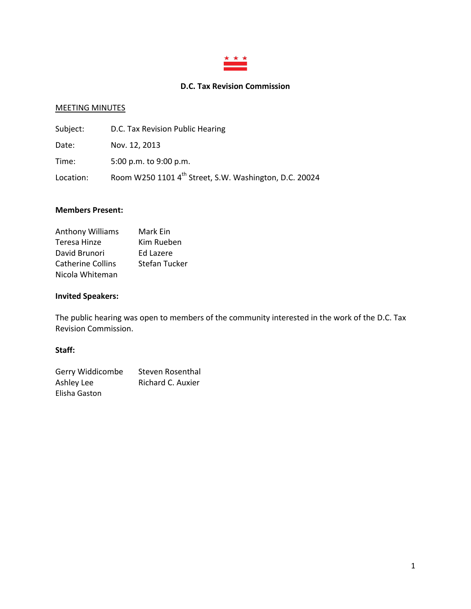

# **D.C. Tax Revision Commission**

#### MEETING MINUTES

| Subject:  | D.C. Tax Revision Public Hearing                       |
|-----------|--------------------------------------------------------|
| Date:     | Nov. 12, 2013                                          |
| Time:     | 5:00 p.m. to 9:00 p.m.                                 |
| Location: | Room W250 1101 4th Street, S.W. Washington, D.C. 20024 |

## **Members Present:**

| <b>Anthony Williams</b>  | Mark Ein             |
|--------------------------|----------------------|
| Teresa Hinze             | Kim Rueben           |
| David Brunori            | Ed Lazere            |
| <b>Catherine Collins</b> | <b>Stefan Tucker</b> |
| Nicola Whiteman          |                      |

## **Invited Speakers:**

The public hearing was open to members of the community interested in the work of the D.C. Tax Revision Commission.

### **Staff:**

| Gerry Widdicombe | Steven Rosenthal  |
|------------------|-------------------|
| Ashley Lee       | Richard C. Auxier |
| Elisha Gaston    |                   |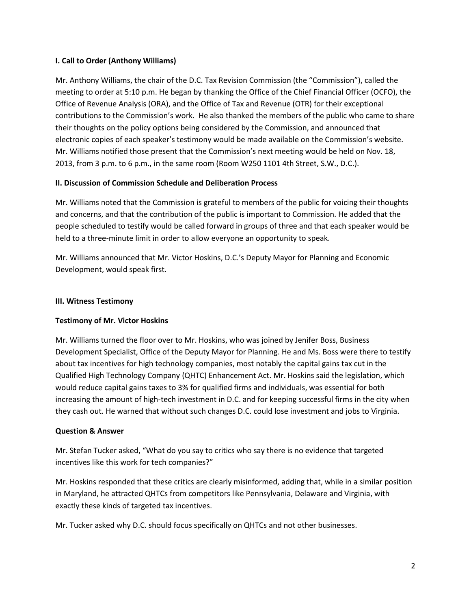## **I. Call to Order (Anthony Williams)**

Mr. Anthony Williams, the chair of the D.C. Tax Revision Commission (the "Commission"), called the meeting to order at 5:10 p.m. He began by thanking the Office of the Chief Financial Officer (OCFO), the Office of Revenue Analysis (ORA), and the Office of Tax and Revenue (OTR) for their exceptional contributions to the Commission's work. He also thanked the members of the public who came to share their thoughts on the policy options being considered by the Commission, and announced that electronic copies of each speaker's testimony would be made available on the Commission's website. Mr. Williams notified those present that the Commission's next meeting would be held on Nov. 18, 2013, from 3 p.m. to 6 p.m., in the same room (Room W250 1101 4th Street, S.W., D.C.).

## **II. Discussion of Commission Schedule and Deliberation Process**

Mr. Williams noted that the Commission is grateful to members of the public for voicing their thoughts and concerns, and that the contribution of the public is important to Commission. He added that the people scheduled to testify would be called forward in groups of three and that each speaker would be held to a three-minute limit in order to allow everyone an opportunity to speak.

Mr. Williams announced that Mr. Victor Hoskins, D.C.'s Deputy Mayor for Planning and Economic Development, would speak first.

#### **III. Witness Testimony**

## **Testimony of Mr. Victor Hoskins**

Mr. Williams turned the floor over to Mr. Hoskins, who was joined by Jenifer Boss, Business Development Specialist, Office of the Deputy Mayor for Planning. He and Ms. Boss were there to testify about tax incentives for high technology companies, most notably the capital gains tax cut in the Qualified High Technology Company (QHTC) Enhancement Act. Mr. Hoskins said the legislation, which would reduce capital gains taxes to 3% for qualified firms and individuals, was essential for both increasing the amount of high-tech investment in D.C. and for keeping successful firms in the city when they cash out. He warned that without such changes D.C. could lose investment and jobs to Virginia.

#### **Question & Answer**

Mr. Stefan Tucker asked, "What do you say to critics who say there is no evidence that targeted incentives like this work for tech companies?"

Mr. Hoskins responded that these critics are clearly misinformed, adding that, while in a similar position in Maryland, he attracted QHTCs from competitors like Pennsylvania, Delaware and Virginia, with exactly these kinds of targeted tax incentives.

Mr. Tucker asked why D.C. should focus specifically on QHTCs and not other businesses.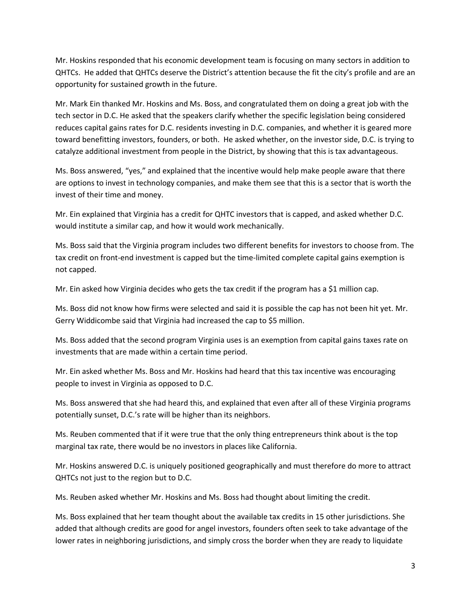Mr. Hoskins responded that his economic development team is focusing on many sectors in addition to QHTCs. He added that QHTCs deserve the District's attention because the fit the city's profile and are an opportunity for sustained growth in the future.

Mr. Mark Ein thanked Mr. Hoskins and Ms. Boss, and congratulated them on doing a great job with the tech sector in D.C. He asked that the speakers clarify whether the specific legislation being considered reduces capital gains rates for D.C. residents investing in D.C. companies, and whether it is geared more toward benefitting investors, founders, or both. He asked whether, on the investor side, D.C. is trying to catalyze additional investment from people in the District, by showing that this is tax advantageous.

Ms. Boss answered, "yes," and explained that the incentive would help make people aware that there are options to invest in technology companies, and make them see that this is a sector that is worth the invest of their time and money.

Mr. Ein explained that Virginia has a credit for QHTC investors that is capped, and asked whether D.C. would institute a similar cap, and how it would work mechanically.

Ms. Boss said that the Virginia program includes two different benefits for investors to choose from. The tax credit on front-end investment is capped but the time-limited complete capital gains exemption is not capped.

Mr. Ein asked how Virginia decides who gets the tax credit if the program has a \$1 million cap.

Ms. Boss did not know how firms were selected and said it is possible the cap has not been hit yet. Mr. Gerry Widdicombe said that Virginia had increased the cap to \$5 million.

Ms. Boss added that the second program Virginia uses is an exemption from capital gains taxes rate on investments that are made within a certain time period.

Mr. Ein asked whether Ms. Boss and Mr. Hoskins had heard that this tax incentive was encouraging people to invest in Virginia as opposed to D.C.

Ms. Boss answered that she had heard this, and explained that even after all of these Virginia programs potentially sunset, D.C.'s rate will be higher than its neighbors.

Ms. Reuben commented that if it were true that the only thing entrepreneurs think about is the top marginal tax rate, there would be no investors in places like California.

Mr. Hoskins answered D.C. is uniquely positioned geographically and must therefore do more to attract QHTCs not just to the region but to D.C.

Ms. Reuben asked whether Mr. Hoskins and Ms. Boss had thought about limiting the credit.

Ms. Boss explained that her team thought about the available tax credits in 15 other jurisdictions. She added that although credits are good for angel investors, founders often seek to take advantage of the lower rates in neighboring jurisdictions, and simply cross the border when they are ready to liquidate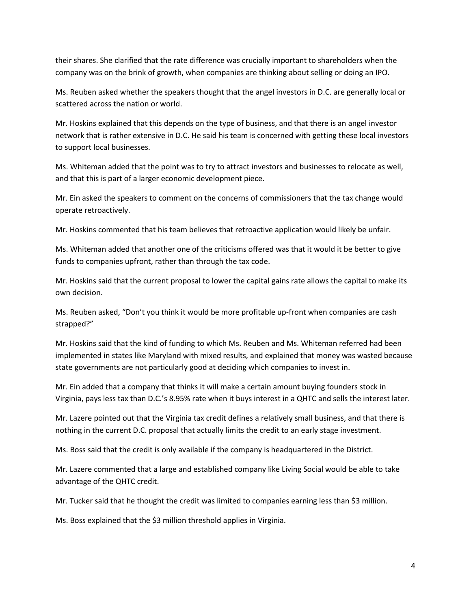their shares. She clarified that the rate difference was crucially important to shareholders when the company was on the brink of growth, when companies are thinking about selling or doing an IPO.

Ms. Reuben asked whether the speakers thought that the angel investors in D.C. are generally local or scattered across the nation or world.

Mr. Hoskins explained that this depends on the type of business, and that there is an angel investor network that is rather extensive in D.C. He said his team is concerned with getting these local investors to support local businesses.

Ms. Whiteman added that the point was to try to attract investors and businesses to relocate as well, and that this is part of a larger economic development piece.

Mr. Ein asked the speakers to comment on the concerns of commissioners that the tax change would operate retroactively.

Mr. Hoskins commented that his team believes that retroactive application would likely be unfair.

Ms. Whiteman added that another one of the criticisms offered was that it would it be better to give funds to companies upfront, rather than through the tax code.

Mr. Hoskins said that the current proposal to lower the capital gains rate allows the capital to make its own decision.

Ms. Reuben asked, "Don't you think it would be more profitable up-front when companies are cash strapped?"

Mr. Hoskins said that the kind of funding to which Ms. Reuben and Ms. Whiteman referred had been implemented in states like Maryland with mixed results, and explained that money was wasted because state governments are not particularly good at deciding which companies to invest in.

Mr. Ein added that a company that thinks it will make a certain amount buying founders stock in Virginia, pays less tax than D.C.'s 8.95% rate when it buys interest in a QHTC and sells the interest later.

Mr. Lazere pointed out that the Virginia tax credit defines a relatively small business, and that there is nothing in the current D.C. proposal that actually limits the credit to an early stage investment.

Ms. Boss said that the credit is only available if the company is headquartered in the District.

Mr. Lazere commented that a large and established company like Living Social would be able to take advantage of the QHTC credit.

Mr. Tucker said that he thought the credit was limited to companies earning less than \$3 million.

Ms. Boss explained that the \$3 million threshold applies in Virginia.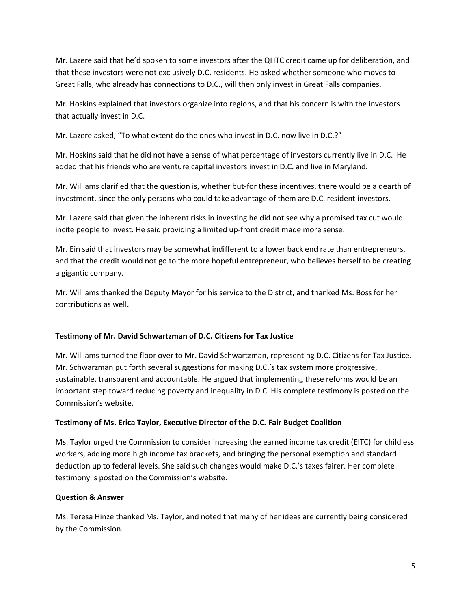Mr. Lazere said that he'd spoken to some investors after the QHTC credit came up for deliberation, and that these investors were not exclusively D.C. residents. He asked whether someone who moves to Great Falls, who already has connections to D.C., will then only invest in Great Falls companies.

Mr. Hoskins explained that investors organize into regions, and that his concern is with the investors that actually invest in D.C.

Mr. Lazere asked, "To what extent do the ones who invest in D.C. now live in D.C.?"

Mr. Hoskins said that he did not have a sense of what percentage of investors currently live in D.C. He added that his friends who are venture capital investors invest in D.C. and live in Maryland.

Mr. Williams clarified that the question is, whether but-for these incentives, there would be a dearth of investment, since the only persons who could take advantage of them are D.C. resident investors.

Mr. Lazere said that given the inherent risks in investing he did not see why a promised tax cut would incite people to invest. He said providing a limited up-front credit made more sense.

Mr. Ein said that investors may be somewhat indifferent to a lower back end rate than entrepreneurs, and that the credit would not go to the more hopeful entrepreneur, who believes herself to be creating a gigantic company.

Mr. Williams thanked the Deputy Mayor for his service to the District, and thanked Ms. Boss for her contributions as well.

## **Testimony of Mr. David Schwartzman of D.C. Citizens for Tax Justice**

Mr. Williams turned the floor over to Mr. David Schwartzman, representing D.C. Citizens for Tax Justice. Mr. Schwarzman put forth several suggestions for making D.C.'s tax system more progressive, sustainable, transparent and accountable. He argued that implementing these reforms would be an important step toward reducing poverty and inequality in D.C. His complete testimony is posted on the Commission's website.

## **Testimony of Ms. Erica Taylor, Executive Director of the D.C. Fair Budget Coalition**

Ms. Taylor urged the Commission to consider increasing the earned income tax credit (EITC) for childless workers, adding more high income tax brackets, and bringing the personal exemption and standard deduction up to federal levels. She said such changes would make D.C.'s taxes fairer. Her complete testimony is posted on the Commission's website.

#### **Question & Answer**

Ms. Teresa Hinze thanked Ms. Taylor, and noted that many of her ideas are currently being considered by the Commission.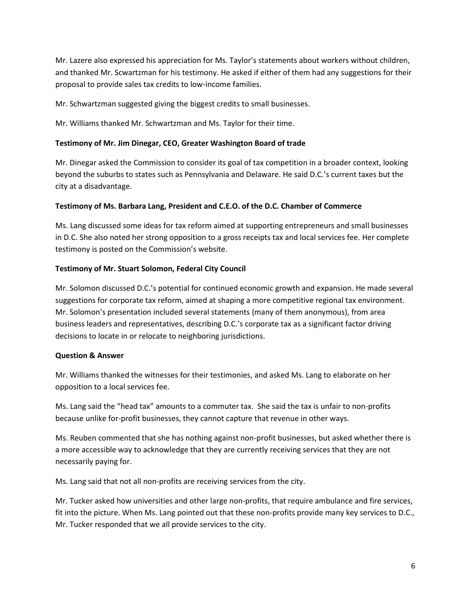Mr. Lazere also expressed his appreciation for Ms. Taylor's statements about workers without children, and thanked Mr. Scwartzman for his testimony. He asked if either of them had any suggestions for their proposal to provide sales tax credits to low-income families.

Mr. Schwartzman suggested giving the biggest credits to small businesses.

Mr. Williams thanked Mr. Schwartzman and Ms. Taylor for their time.

## **Testimony of Mr. Jim Dinegar, CEO, Greater Washington Board of trade**

Mr. Dinegar asked the Commission to consider its goal of tax competition in a broader context, looking beyond the suburbs to states such as Pennsylvania and Delaware. He said D.C.'s current taxes but the city at a disadvantage.

## **Testimony of Ms. Barbara Lang, President and C.E.O. of the D.C. Chamber of Commerce**

Ms. Lang discussed some ideas for tax reform aimed at supporting entrepreneurs and small businesses in D.C. She also noted her strong opposition to a gross receipts tax and local services fee. Her complete testimony is posted on the Commission's website.

## **Testimony of Mr. Stuart Solomon, Federal City Council**

Mr. Solomon discussed D.C.'s potential for continued economic growth and expansion. He made several suggestions for corporate tax reform, aimed at shaping a more competitive regional tax environment. Mr. Solomon's presentation included several statements (many of them anonymous), from area business leaders and representatives, describing D.C.'s corporate tax as a significant factor driving decisions to locate in or relocate to neighboring jurisdictions.

#### **Question & Answer**

Mr. Williams thanked the witnesses for their testimonies, and asked Ms. Lang to elaborate on her opposition to a local services fee.

Ms. Lang said the "head tax" amounts to a commuter tax. She said the tax is unfair to non-profits because unlike for-profit businesses, they cannot capture that revenue in other ways.

Ms. Reuben commented that she has nothing against non-profit businesses, but asked whether there is a more accessible way to acknowledge that they are currently receiving services that they are not necessarily paying for.

Ms. Lang said that not all non-profits are receiving services from the city.

Mr. Tucker asked how universities and other large non-profits, that require ambulance and fire services, fit into the picture. When Ms. Lang pointed out that these non-profits provide many key services to D.C., Mr. Tucker responded that we all provide services to the city.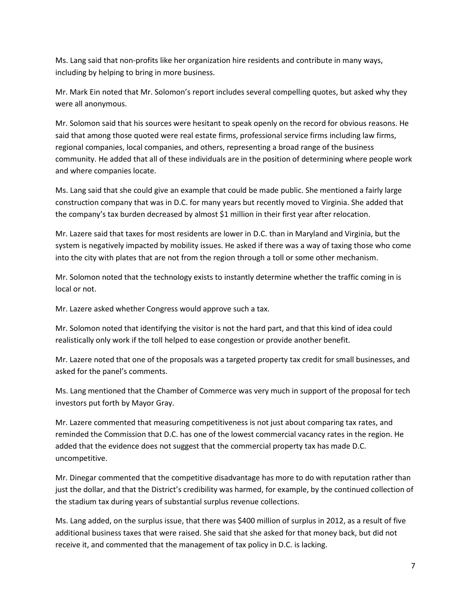Ms. Lang said that non-profits like her organization hire residents and contribute in many ways, including by helping to bring in more business.

Mr. Mark Ein noted that Mr. Solomon's report includes several compelling quotes, but asked why they were all anonymous.

Mr. Solomon said that his sources were hesitant to speak openly on the record for obvious reasons. He said that among those quoted were real estate firms, professional service firms including law firms, regional companies, local companies, and others, representing a broad range of the business community. He added that all of these individuals are in the position of determining where people work and where companies locate.

Ms. Lang said that she could give an example that could be made public. She mentioned a fairly large construction company that was in D.C. for many years but recently moved to Virginia. She added that the company's tax burden decreased by almost \$1 million in their first year after relocation.

Mr. Lazere said that taxes for most residents are lower in D.C. than in Maryland and Virginia, but the system is negatively impacted by mobility issues. He asked if there was a way of taxing those who come into the city with plates that are not from the region through a toll or some other mechanism.

Mr. Solomon noted that the technology exists to instantly determine whether the traffic coming in is local or not.

Mr. Lazere asked whether Congress would approve such a tax.

Mr. Solomon noted that identifying the visitor is not the hard part, and that this kind of idea could realistically only work if the toll helped to ease congestion or provide another benefit.

Mr. Lazere noted that one of the proposals was a targeted property tax credit for small businesses, and asked for the panel's comments.

Ms. Lang mentioned that the Chamber of Commerce was very much in support of the proposal for tech investors put forth by Mayor Gray.

Mr. Lazere commented that measuring competitiveness is not just about comparing tax rates, and reminded the Commission that D.C. has one of the lowest commercial vacancy rates in the region. He added that the evidence does not suggest that the commercial property tax has made D.C. uncompetitive.

Mr. Dinegar commented that the competitive disadvantage has more to do with reputation rather than just the dollar, and that the District's credibility was harmed, for example, by the continued collection of the stadium tax during years of substantial surplus revenue collections.

Ms. Lang added, on the surplus issue, that there was \$400 million of surplus in 2012, as a result of five additional business taxes that were raised. She said that she asked for that money back, but did not receive it, and commented that the management of tax policy in D.C. is lacking.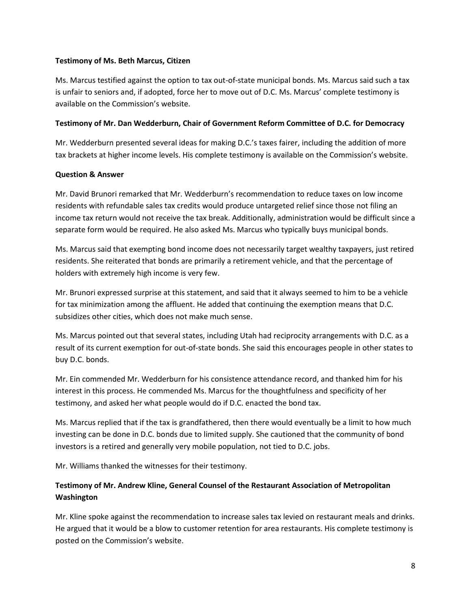## **Testimony of Ms. Beth Marcus, Citizen**

Ms. Marcus testified against the option to tax out-of-state municipal bonds. Ms. Marcus said such a tax is unfair to seniors and, if adopted, force her to move out of D.C. Ms. Marcus' complete testimony is available on the Commission's website.

## **Testimony of Mr. Dan Wedderburn, Chair of Government Reform Committee of D.C. for Democracy**

Mr. Wedderburn presented several ideas for making D.C.'s taxes fairer, including the addition of more tax brackets at higher income levels. His complete testimony is available on the Commission's website.

## **Question & Answer**

Mr. David Brunori remarked that Mr. Wedderburn's recommendation to reduce taxes on low income residents with refundable sales tax credits would produce untargeted relief since those not filing an income tax return would not receive the tax break. Additionally, administration would be difficult since a separate form would be required. He also asked Ms. Marcus who typically buys municipal bonds.

Ms. Marcus said that exempting bond income does not necessarily target wealthy taxpayers, just retired residents. She reiterated that bonds are primarily a retirement vehicle, and that the percentage of holders with extremely high income is very few.

Mr. Brunori expressed surprise at this statement, and said that it always seemed to him to be a vehicle for tax minimization among the affluent. He added that continuing the exemption means that D.C. subsidizes other cities, which does not make much sense.

Ms. Marcus pointed out that several states, including Utah had reciprocity arrangements with D.C. as a result of its current exemption for out-of-state bonds. She said this encourages people in other states to buy D.C. bonds.

Mr. Ein commended Mr. Wedderburn for his consistence attendance record, and thanked him for his interest in this process. He commended Ms. Marcus for the thoughtfulness and specificity of her testimony, and asked her what people would do if D.C. enacted the bond tax.

Ms. Marcus replied that if the tax is grandfathered, then there would eventually be a limit to how much investing can be done in D.C. bonds due to limited supply. She cautioned that the community of bond investors is a retired and generally very mobile population, not tied to D.C. jobs.

Mr. Williams thanked the witnesses for their testimony.

# **Testimony of Mr. Andrew Kline, General Counsel of the Restaurant Association of Metropolitan Washington**

Mr. Kline spoke against the recommendation to increase sales tax levied on restaurant meals and drinks. He argued that it would be a blow to customer retention for area restaurants. His complete testimony is posted on the Commission's website.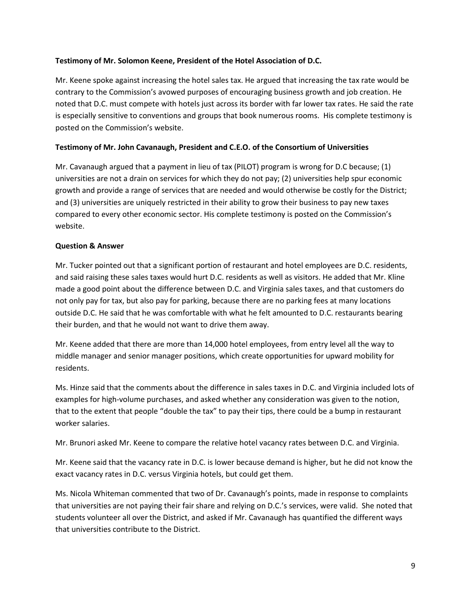## **Testimony of Mr. Solomon Keene, President of the Hotel Association of D.C.**

Mr. Keene spoke against increasing the hotel sales tax. He argued that increasing the tax rate would be contrary to the Commission's avowed purposes of encouraging business growth and job creation. He noted that D.C. must compete with hotels just across its border with far lower tax rates. He said the rate is especially sensitive to conventions and groups that book numerous rooms. His complete testimony is posted on the Commission's website.

## **Testimony of Mr. John Cavanaugh, President and C.E.O. of the Consortium of Universities**

Mr. Cavanaugh argued that a payment in lieu of tax (PILOT) program is wrong for D.C because; (1) universities are not a drain on services for which they do not pay; (2) universities help spur economic growth and provide a range of services that are needed and would otherwise be costly for the District; and (3) universities are uniquely restricted in their ability to grow their business to pay new taxes compared to every other economic sector. His complete testimony is posted on the Commission's website.

## **Question & Answer**

Mr. Tucker pointed out that a significant portion of restaurant and hotel employees are D.C. residents, and said raising these sales taxes would hurt D.C. residents as well as visitors. He added that Mr. Kline made a good point about the difference between D.C. and Virginia sales taxes, and that customers do not only pay for tax, but also pay for parking, because there are no parking fees at many locations outside D.C. He said that he was comfortable with what he felt amounted to D.C. restaurants bearing their burden, and that he would not want to drive them away.

Mr. Keene added that there are more than 14,000 hotel employees, from entry level all the way to middle manager and senior manager positions, which create opportunities for upward mobility for residents.

Ms. Hinze said that the comments about the difference in sales taxes in D.C. and Virginia included lots of examples for high-volume purchases, and asked whether any consideration was given to the notion, that to the extent that people "double the tax" to pay their tips, there could be a bump in restaurant worker salaries.

Mr. Brunori asked Mr. Keene to compare the relative hotel vacancy rates between D.C. and Virginia.

Mr. Keene said that the vacancy rate in D.C. is lower because demand is higher, but he did not know the exact vacancy rates in D.C. versus Virginia hotels, but could get them.

Ms. Nicola Whiteman commented that two of Dr. Cavanaugh's points, made in response to complaints that universities are not paying their fair share and relying on D.C.'s services, were valid. She noted that students volunteer all over the District, and asked if Mr. Cavanaugh has quantified the different ways that universities contribute to the District.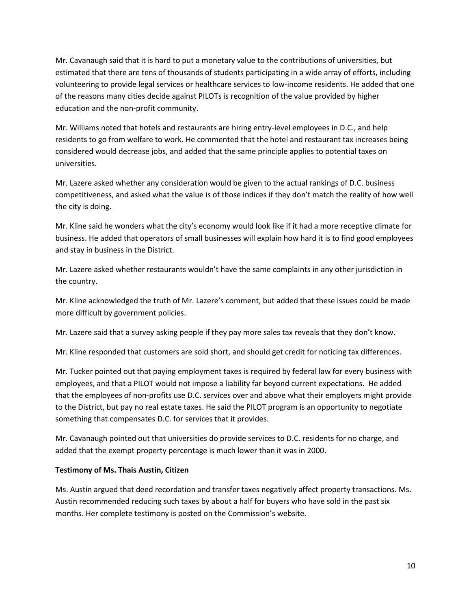Mr. Cavanaugh said that it is hard to put a monetary value to the contributions of universities, but estimated that there are tens of thousands of students participating in a wide array of efforts, including volunteering to provide legal services or healthcare services to low-income residents. He added that one of the reasons many cities decide against PILOTs is recognition of the value provided by higher education and the non-profit community.

Mr. Williams noted that hotels and restaurants are hiring entry-level employees in D.C., and help residents to go from welfare to work. He commented that the hotel and restaurant tax increases being considered would decrease jobs, and added that the same principle applies to potential taxes on universities.

Mr. Lazere asked whether any consideration would be given to the actual rankings of D.C. business competitiveness, and asked what the value is of those indices if they don't match the reality of how well the city is doing.

Mr. Kline said he wonders what the city's economy would look like if it had a more receptive climate for business. He added that operators of small businesses will explain how hard it is to find good employees and stay in business in the District.

Mr. Lazere asked whether restaurants wouldn't have the same complaints in any other jurisdiction in the country.

Mr. Kline acknowledged the truth of Mr. Lazere's comment, but added that these issues could be made more difficult by government policies.

Mr. Lazere said that a survey asking people if they pay more sales tax reveals that they don't know.

Mr. Kline responded that customers are sold short, and should get credit for noticing tax differences.

Mr. Tucker pointed out that paying employment taxes is required by federal law for every business with employees, and that a PILOT would not impose a liability far beyond current expectations. He added that the employees of non-profits use D.C. services over and above what their employers might provide to the District, but pay no real estate taxes. He said the PILOT program is an opportunity to negotiate something that compensates D.C. for services that it provides.

Mr. Cavanaugh pointed out that universities do provide services to D.C. residents for no charge, and added that the exempt property percentage is much lower than it was in 2000.

#### **Testimony of Ms. Thais Austin, Citizen**

Ms. Austin argued that deed recordation and transfer taxes negatively affect property transactions. Ms. Austin recommended reducing such taxes by about a half for buyers who have sold in the past six months. Her complete testimony is posted on the Commission's website.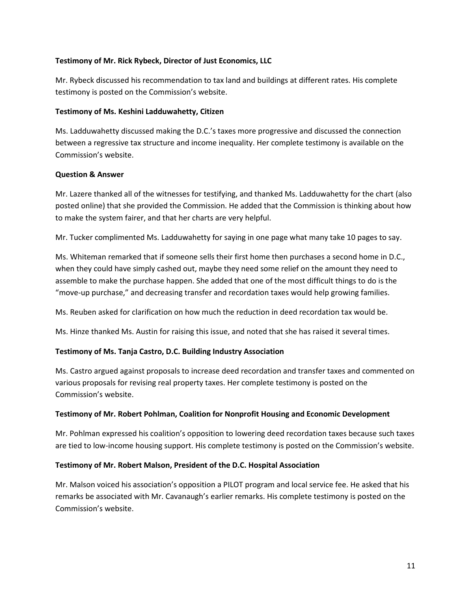## **Testimony of Mr. Rick Rybeck, Director of Just Economics, LLC**

Mr. Rybeck discussed his recommendation to tax land and buildings at different rates. His complete testimony is posted on the Commission's website.

### **Testimony of Ms. Keshini Ladduwahetty, Citizen**

Ms. Ladduwahetty discussed making the D.C.'s taxes more progressive and discussed the connection between a regressive tax structure and income inequality. Her complete testimony is available on the Commission's website.

## **Question & Answer**

Mr. Lazere thanked all of the witnesses for testifying, and thanked Ms. Ladduwahetty for the chart (also posted online) that she provided the Commission. He added that the Commission is thinking about how to make the system fairer, and that her charts are very helpful.

Mr. Tucker complimented Ms. Ladduwahetty for saying in one page what many take 10 pages to say.

Ms. Whiteman remarked that if someone sells their first home then purchases a second home in D.C., when they could have simply cashed out, maybe they need some relief on the amount they need to assemble to make the purchase happen. She added that one of the most difficult things to do is the "move-up purchase," and decreasing transfer and recordation taxes would help growing families.

Ms. Reuben asked for clarification on how much the reduction in deed recordation tax would be.

Ms. Hinze thanked Ms. Austin for raising this issue, and noted that she has raised it several times.

## **Testimony of Ms. Tanja Castro, D.C. Building Industry Association**

Ms. Castro argued against proposals to increase deed recordation and transfer taxes and commented on various proposals for revising real property taxes. Her complete testimony is posted on the Commission's website.

#### **Testimony of Mr. Robert Pohlman, Coalition for Nonprofit Housing and Economic Development**

Mr. Pohlman expressed his coalition's opposition to lowering deed recordation taxes because such taxes are tied to low-income housing support. His complete testimony is posted on the Commission's website.

#### **Testimony of Mr. Robert Malson, President of the D.C. Hospital Association**

Mr. Malson voiced his association's opposition a PILOT program and local service fee. He asked that his remarks be associated with Mr. Cavanaugh's earlier remarks. His complete testimony is posted on the Commission's website.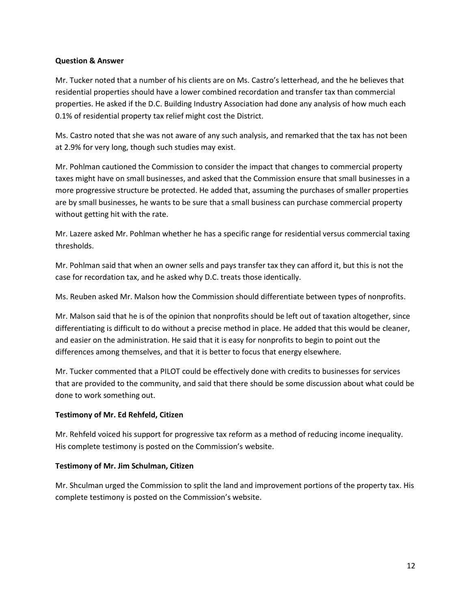#### **Question & Answer**

Mr. Tucker noted that a number of his clients are on Ms. Castro's letterhead, and the he believes that residential properties should have a lower combined recordation and transfer tax than commercial properties. He asked if the D.C. Building Industry Association had done any analysis of how much each 0.1% of residential property tax relief might cost the District.

Ms. Castro noted that she was not aware of any such analysis, and remarked that the tax has not been at 2.9% for very long, though such studies may exist.

Mr. Pohlman cautioned the Commission to consider the impact that changes to commercial property taxes might have on small businesses, and asked that the Commission ensure that small businesses in a more progressive structure be protected. He added that, assuming the purchases of smaller properties are by small businesses, he wants to be sure that a small business can purchase commercial property without getting hit with the rate.

Mr. Lazere asked Mr. Pohlman whether he has a specific range for residential versus commercial taxing thresholds.

Mr. Pohlman said that when an owner sells and pays transfer tax they can afford it, but this is not the case for recordation tax, and he asked why D.C. treats those identically.

Ms. Reuben asked Mr. Malson how the Commission should differentiate between types of nonprofits.

Mr. Malson said that he is of the opinion that nonprofits should be left out of taxation altogether, since differentiating is difficult to do without a precise method in place. He added that this would be cleaner, and easier on the administration. He said that it is easy for nonprofits to begin to point out the differences among themselves, and that it is better to focus that energy elsewhere.

Mr. Tucker commented that a PILOT could be effectively done with credits to businesses for services that are provided to the community, and said that there should be some discussion about what could be done to work something out.

#### **Testimony of Mr. Ed Rehfeld, Citizen**

Mr. Rehfeld voiced his support for progressive tax reform as a method of reducing income inequality. His complete testimony is posted on the Commission's website.

#### **Testimony of Mr. Jim Schulman, Citizen**

Mr. Shculman urged the Commission to split the land and improvement portions of the property tax. His complete testimony is posted on the Commission's website.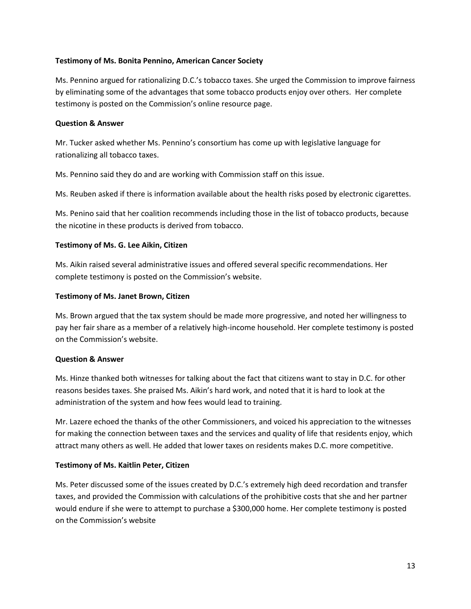### **Testimony of Ms. Bonita Pennino, American Cancer Society**

Ms. Pennino argued for rationalizing D.C.'s tobacco taxes. She urged the Commission to improve fairness by eliminating some of the advantages that some tobacco products enjoy over others. Her complete testimony is posted on the Commission's online resource page.

## **Question & Answer**

Mr. Tucker asked whether Ms. Pennino's consortium has come up with legislative language for rationalizing all tobacco taxes.

Ms. Pennino said they do and are working with Commission staff on this issue.

Ms. Reuben asked if there is information available about the health risks posed by electronic cigarettes.

Ms. Penino said that her coalition recommends including those in the list of tobacco products, because the nicotine in these products is derived from tobacco.

## **Testimony of Ms. G. Lee Aikin, Citizen**

Ms. Aikin raised several administrative issues and offered several specific recommendations. Her complete testimony is posted on the Commission's website.

## **Testimony of Ms. Janet Brown, Citizen**

Ms. Brown argued that the tax system should be made more progressive, and noted her willingness to pay her fair share as a member of a relatively high-income household. Her complete testimony is posted on the Commission's website.

## **Question & Answer**

Ms. Hinze thanked both witnesses for talking about the fact that citizens want to stay in D.C. for other reasons besides taxes. She praised Ms. Aikin's hard work, and noted that it is hard to look at the administration of the system and how fees would lead to training.

Mr. Lazere echoed the thanks of the other Commissioners, and voiced his appreciation to the witnesses for making the connection between taxes and the services and quality of life that residents enjoy, which attract many others as well. He added that lower taxes on residents makes D.C. more competitive.

## **Testimony of Ms. Kaitlin Peter, Citizen**

Ms. Peter discussed some of the issues created by D.C.'s extremely high deed recordation and transfer taxes, and provided the Commission with calculations of the prohibitive costs that she and her partner would endure if she were to attempt to purchase a \$300,000 home. Her complete testimony is posted on the Commission's website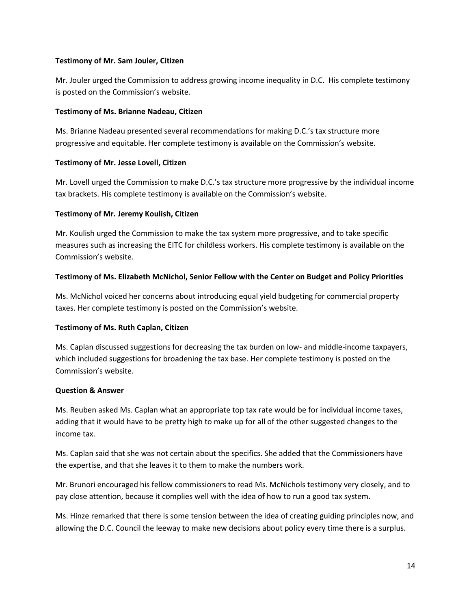## **Testimony of Mr. Sam Jouler, Citizen**

Mr. Jouler urged the Commission to address growing income inequality in D.C. His complete testimony is posted on the Commission's website.

## **Testimony of Ms. Brianne Nadeau, Citizen**

Ms. Brianne Nadeau presented several recommendations for making D.C.'s tax structure more progressive and equitable. Her complete testimony is available on the Commission's website.

## **Testimony of Mr. Jesse Lovell, Citizen**

Mr. Lovell urged the Commission to make D.C.'s tax structure more progressive by the individual income tax brackets. His complete testimony is available on the Commission's website.

## **Testimony of Mr. Jeremy Koulish, Citizen**

Mr. Koulish urged the Commission to make the tax system more progressive, and to take specific measures such as increasing the EITC for childless workers. His complete testimony is available on the Commission's website.

## **Testimony of Ms. Elizabeth McNichol, Senior Fellow with the Center on Budget and Policy Priorities**

Ms. McNichol voiced her concerns about introducing equal yield budgeting for commercial property taxes. Her complete testimony is posted on the Commission's website.

## **Testimony of Ms. Ruth Caplan, Citizen**

Ms. Caplan discussed suggestions for decreasing the tax burden on low- and middle-income taxpayers, which included suggestions for broadening the tax base. Her complete testimony is posted on the Commission's website.

#### **Question & Answer**

Ms. Reuben asked Ms. Caplan what an appropriate top tax rate would be for individual income taxes, adding that it would have to be pretty high to make up for all of the other suggested changes to the income tax.

Ms. Caplan said that she was not certain about the specifics. She added that the Commissioners have the expertise, and that she leaves it to them to make the numbers work.

Mr. Brunori encouraged his fellow commissioners to read Ms. McNichols testimony very closely, and to pay close attention, because it complies well with the idea of how to run a good tax system.

Ms. Hinze remarked that there is some tension between the idea of creating guiding principles now, and allowing the D.C. Council the leeway to make new decisions about policy every time there is a surplus.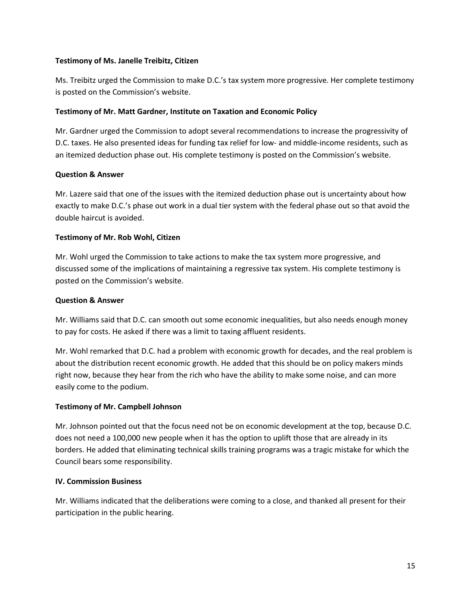## **Testimony of Ms. Janelle Treibitz, Citizen**

Ms. Treibitz urged the Commission to make D.C.'s tax system more progressive. Her complete testimony is posted on the Commission's website.

## **Testimony of Mr. Matt Gardner, Institute on Taxation and Economic Policy**

Mr. Gardner urged the Commission to adopt several recommendations to increase the progressivity of D.C. taxes. He also presented ideas for funding tax relief for low- and middle-income residents, such as an itemized deduction phase out. His complete testimony is posted on the Commission's website.

## **Question & Answer**

Mr. Lazere said that one of the issues with the itemized deduction phase out is uncertainty about how exactly to make D.C.'s phase out work in a dual tier system with the federal phase out so that avoid the double haircut is avoided.

## **Testimony of Mr. Rob Wohl, Citizen**

Mr. Wohl urged the Commission to take actions to make the tax system more progressive, and discussed some of the implications of maintaining a regressive tax system. His complete testimony is posted on the Commission's website.

## **Question & Answer**

Mr. Williams said that D.C. can smooth out some economic inequalities, but also needs enough money to pay for costs. He asked if there was a limit to taxing affluent residents.

Mr. Wohl remarked that D.C. had a problem with economic growth for decades, and the real problem is about the distribution recent economic growth. He added that this should be on policy makers minds right now, because they hear from the rich who have the ability to make some noise, and can more easily come to the podium.

#### **Testimony of Mr. Campbell Johnson**

Mr. Johnson pointed out that the focus need not be on economic development at the top, because D.C. does not need a 100,000 new people when it has the option to uplift those that are already in its borders. He added that eliminating technical skills training programs was a tragic mistake for which the Council bears some responsibility.

#### **IV. Commission Business**

Mr. Williams indicated that the deliberations were coming to a close, and thanked all present for their participation in the public hearing.